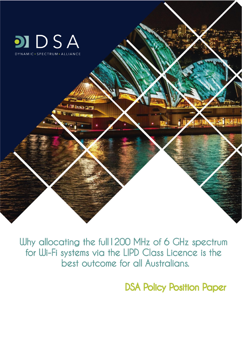

Why allocating the full 1200 MHz of 6 GHz spectrum for Wi-Fi systems via the LIPD Class Licence is the best outcome for all Australians.

**DSA Policy Position Paper**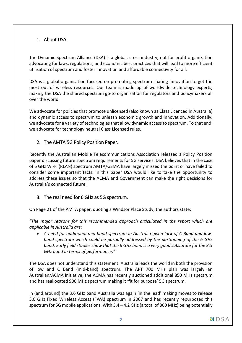# 1. About DSA.

The Dynamic Spectrum Alliance (DSA) is a global, cross-industry, not for profit organization advocating for laws, regulations, and economic best practices that will lead to more efficient utilisation of spectrum and foster innovation and affordable connectivity for all.

DSA is a global organisation focused on promoting spectrum sharing innovation to get the most out of wireless resources. Our team is made up of worldwide technology experts, making the DSA the shared spectrum go-to organisation for regulators and policymakers all over the world.

We advocate for policies that promote unlicensed (also known as Class Licenced in Australia) and dynamic access to spectrum to unleash economic growth and innovation. Additionally, we advocate for a variety of technologies that allow dynamic access to spectrum. To that end, we advocate for technology neutral Class Licensed rules.

## 2. The AMTA 5G Policy Position Paper.

Recently the Australian Mobile Telecommunications Association released a Policy Position paper discussing future spectrum requirements for 5G services. DSA believes that in the case of 6 GHz Wi-Fi (RLAN) spectrum AMTA/GSMA have largely missed the point or have failed to consider some important facts. In this paper DSA would like to take the opportunity to address these issues so that the ACMA and Government can make the right decisions for Australia's connected future.

## 3. The real need for 6 GHz as 5G spectrum.

On Page 21 of the AMTA paper, quoting a Windsor Place Study, the authors state:

*"The major reasons for this recommended approach articulated in the report which are applicable in Australia are:*

 *A need for additional mid-band spectrum in Australia given lack of C-Band and lowband spectrum which could be partially addressed by the partitioning of the 6 GHz band. Early field studies show that the 6 GHz band is a very good substitute for the 3.5 GHz band in terms of performance;"*

The DSA does not understand this statement. Australia leads the world in both the provision of low and C Band (mid-band) spectrum. The APT 700 MHz plan was largely an Australian/ACMA initiative, the ACMA has recently auctioned additional 850 MHz spectrum and has reallocated 900 MHz spectrum making it 'fit for purpose' 5G spectrum.

In (and around) the 3.6 GHz band Australia was again 'in the lead' making moves to release 3.6 GHz Fixed Wireless Access (FWA) spectrum in 2007 and has recently repurposed this spectrum for 5G mobile applications. With 3.4 – 4.2 GHz (a total of 800 MHz) being potentially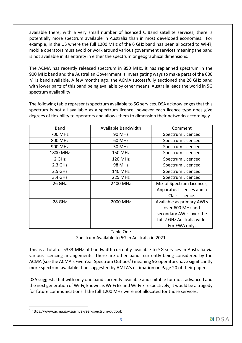available there, with a very small number of licenced C Band satellite services, there is potentially more spectrum available in Australia than in most developed economies. For example, in the US where the full 1200 MHz of the 6 GHz band has been allocated to Wi-Fi, mobile operators must avoid or work around various government services meaning the band is not available in its entirety in either the spectrum or geographical dimensions.

The ACMA has recently released spectrum in 850 MHz, it has replanned spectrum in the 900 MHz band and the Australian Government is investigating ways to make parts of the 600 MHz band available. A few months ago, the ACMA successfully auctioned the 26 GHz band with lower parts of this band being available by other means. Australia leads the world in 5G spectrum availability.

The following table represents spectrum available to 5G services. DSA acknowledges that this spectrum is not all available as a spectrum licence, however each licence type does give degrees of flexibility to operators and allows them to dimension their networks accordingly.

| <b>Band</b> | Available Bandwidth | Comment                    |
|-------------|---------------------|----------------------------|
| 700 MHz     | <b>90 MHz</b>       | Spectrum Licenced          |
| 800 MHz     | 60 MHz              | Spectrum Licenced          |
| 900 MHz     | <b>50 MHz</b>       | Spectrum Licenced          |
| 1800 MHz    | 150 MHz             | Spectrum Licenced          |
| 2 GHz       | <b>120 MHz</b>      | Spectrum Licenced          |
| $2.3$ GHz   | <b>98 MHz</b>       | Spectrum Licenced          |
| $2.5$ GHz   | 140 MHz             | Spectrum Licenced          |
| 3.4 GHz     | <b>225 MHz</b>      | Spectrum Licenced          |
| 26 GHz      | 2400 MHz            | Mix of Spectrum Licences,  |
|             |                     | Apparatus Licences and a   |
|             |                     | Class Licence.             |
| 28 GHz      | 2000 MHz            | Available as primary AWLs  |
|             |                     | over 600 MHz and           |
|             |                     | secondary AWLs over the    |
|             |                     | full 2 GHz Australia wide. |
|             |                     | For FWA only.              |

Table One Spectrum Available to 5G in Australia in 2021

This is a total of 5333 MHz of bandwidth currently available to 5G services in Australia via various licencing arrangements. There are other bands currently being considered by the ACMA (see the ACMA's Five Year Spectrum Outlook<sup>1</sup>) meaning 5G operators have significantly more spectrum available than suggested by AMTA's estimation on Page 20 of their paper.

DSA suggests that with only one band currently available and suitable for most advanced and the next generation of Wi-Fi, known as Wi-Fi 6E and Wi-Fi 7 respectively, it would be a tragedy for future communications if the full 1200 MHz were not allocated for those services.

<u>.</u>

<sup>1</sup> https://www.acma.gov.au/five-year-spectrum-outlook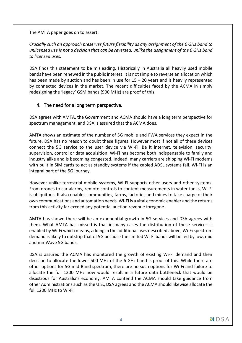The AMTA paper goes on to assert:

*Crucially such an approach preserves future flexibility as any assignment of the 6 GHz band to unlicensed use is not a decision that can be reversed, unlike the assignment of the 6 GHz band to licensed uses.* 

DSA finds this statement to be misleading. Historically in Australia all heavily used mobile bands have been renewed in the public interest. It is not simple to reverse an allocation which has been made by auction and has been in use for 15 – 20 years and is heavily represented by connected devices in the market. The recent difficulties faced by the ACMA in simply redesigning the 'legacy' GSM bands (900 MHz) are proof of this.

## 4. The need for a long term perspective.

DSA agrees with AMTA, the Government and ACMA should have a long term perspective for spectrum management, and DSA is assured that the ACMA does.

AMTA shows an estimate of the number of 5G mobile and FWA services they expect in the future, DSA has no reason to doubt these figures. However most if not all of these devices connect the 5G service to the user device via Wi-Fi. Be it internet, television, security, supervision, control or data acquisition, Wi-Fi has become both indispensable to family and industry alike and is becoming congested. Indeed, many carriers are shipping Wi-Fi modems with built in SIM cards to act as standby systems if the cabled ADSL systems fail. Wi-Fi is an integral part of the 5G journey.

However unlike terrestrial mobile systems, Wi-Fi supports other users and other systems. From drones to car alarms, remote controls to content measurements in water tanks, Wi-Fi is ubiquitous. It also enables communities, farms, factories and mines to take charge of their own communications and automation needs. Wi-Fi is a vital economic enabler and the returns from this activity far exceed any potential auction revenue foregone.

AMTA has shown there will be an exponential growth in 5G services and DSA agrees with them. What AMTA has missed is that in many cases the distribution of these services is enabled by Wi-Fi which means, adding in the additional uses described above, Wi-Fi spectrum demand is likely to outstrip that of 5G because the limited Wi-Fi bands will be fed by low, mid and mmWave 5G bands.

DSA is assured the ACMA has monitored the growth of existing Wi-Fi demand and their decision to allocate the lower 500 MHz of the 6 GHz band is proof of this. While there are other options for 5G mid-Band spectrum, there are no such options for Wi-Fi and failure to allocate the full 1200 MHz now would result in a future data bottleneck that would be disastrous for Australia's economy. AMTA contend the ACMA should take guidance from other Administrations such as the U.S., DSA agrees and the ACMA should likewise allocate the full 1200 MHz to Wi-Fi.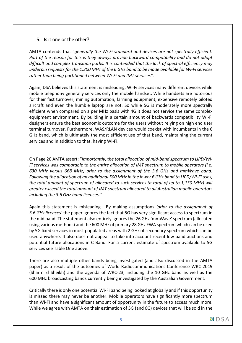## 5. Is it one or the other?

AMTA contends that "*generally the Wi-Fi standard and devices are not spectrally efficient. Part of the reason for this is they always provide backward compatibility and do not adopt difficult and complex transition paths. It is contended that the lack of spectral efficiency may underpin requests for the 1,200 MHz of the 6 GHz band to be made available for Wi-Fi services rather than being partitioned between Wi-Fi and IMT services".*

Again, DSA believes this statement is misleading. Wi-Fi services many different devices while mobile telephony generally services only the mobile handset. While handsets are notorious for their fast turnover, mining automation, farming equipment, expensive remotely piloted aircraft and even the humble laptop are not. So while 5G is moderately more spectrally efficient when compared on a per MHz basis with 4G it does not service the same complex equipment environment. By building in a certain amount of backwards compatibility Wi-Fi designers ensure the best economic outcome for the users without relying on high end user terminal turnover, Furthermore, WAS/RLAN devices would coexist with incumbents in the 6 GHz band, which is ultimately the most efficient use of that band, maintaining the current services and in addition to that, having Wi-Fi.

On Page 20 AMTA assert: "*Importantly, the total allocation of mid-band spectrum to LIPD/Wi-Fi services was comparable to the entire allocation of IMT spectrum to mobile operators (i.e. 630 MHz versus 668 MHz) prior to the assignment of the 3.6 GHz and mmWave band. Following the allocation of an additional 500 MHz in the lower 6 GHz band to LIPD/Wi-Fi uses, the total amount of spectrum of allocated to such services (a total of up to 1,130 MHz) will greater exceed the total amount of IMT spectrum allocated to all Australian mobile operators including the 3.6 GHz band licences."*

Again this statement is misleading. By making assumptions *'prior to the assignment of 3.6 GHz licences'* the paper ignores the fact that 5G has very significant access to spectrum in the mid band. The statement also entirely ignores the 26 GHz 'mmWave' spectrum (allocated using various methods) and the 600 MHz of primary 28 GHz FWA spectrum which can be used by 5G fixed services in most populated areas with 2 GHz of secondary spectrum which can be used anywhere. It also does not appear to take into account recent low band auctions and potential future allocations in C Band. For a current estimate of spectrum available to 5G services see Table One above.

There are also multiple other bands being investigated (and also discussed in the AMTA paper) as a result of the outcomes of World Radiocommunications Conference WRC 2019 (Sharm El Sheikh) and the agenda of WRC-23, including the 10 GHz band as well as the 600 MHz broadcasting bands currently being investigated by the Australian Government.

Critically there is only one potential Wi-Fi band being looked at globally and if this opportunity is missed there may never be another. Mobile operators have significantly more spectrum than Wi-Fi and have a significant amount of opportunity in the future to access much more. While we agree with AMTA on their estimation of 5G (and 6G) devices that will be sold in the